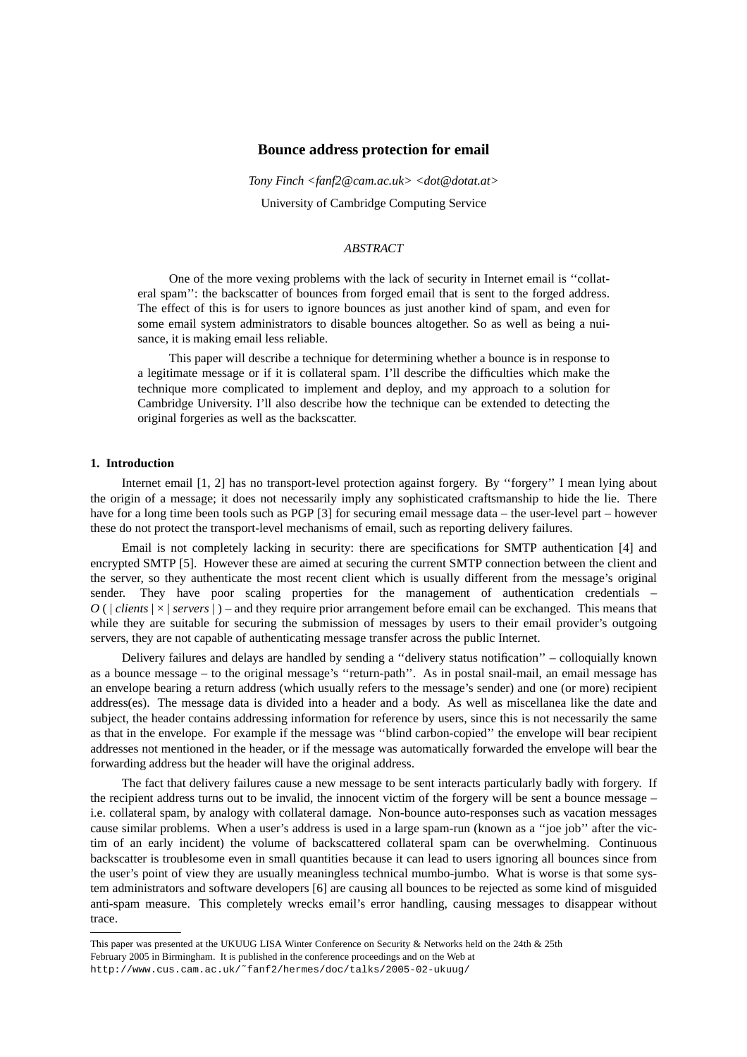# **Bounce address protection for email**

*Tony Finch <fanf2@cam.ac.uk> <dot@dotat.at>* University of Cambridge Computing Service

# *ABSTRACT*

One of the more vexing problems with the lack of security in Internet email is ''collateral spam'': the backscatter of bounces from forged email that is sent to the forged address. The effect of this is for users to ignore bounces as just another kind of spam, and even for some email system administrators to disable bounces altogether. So as well as being a nuisance, it is making email less reliable.

This paper will describe a technique for determining whether a bounce is in response to a legitimate message or if it is collateral spam. I'll describe the difficulties which make the technique more complicated to implement and deploy, and my approach to a solution for Cambridge University. I'll also describe how the technique can be extended to detecting the original forgeries as well as the backscatter.

# **1. Introduction**

Internet email [1, 2] has no transport-level protection against forgery. By ''forgery''Imean lying about the origin of a message; it does not necessarily imply any sophisticated craftsmanship to hide the lie. There have for a long time been tools such as PGP [3] for securing email message data – the user-level part – however these do not protect the transport-level mechanisms of email, such as reporting delivery failures.

Email is not completely lacking in security: there are specifications for SMTP authentication [4] and encrypted SMTP [5]. However these are aimed at securing the current SMTP connection between the client and the server, so they authenticate the most recent client which is usually different from the message's original sender. They have poor scaling properties for the management of authentication credentials – *O* ( | *clients* |×| *servers* |) – and they require prior arrangement before email can be exchanged. This means that while they are suitable for securing the submission of messages by users to their email provider's outgoing servers, they are not capable of authenticating message transfer across the public Internet.

Delivery failures and delays are handled by sending a ''delivery status notification''–colloquially known as a bounce message – to the original message's ''return-path''. As in postal snail-mail, an email message has an envelope bearing a return address (which usually refers to the message's sender) and one (or more) recipient address(es). The message data is divided into a header and a body. As well as miscellanea like the date and subject, the header contains addressing information for reference by users, since this is not necessarily the same as that in the envelope. For example if the message was ''blind carbon-copied'' the envelope will bear recipient addresses not mentioned in the header, or if the message was automatically forwarded the envelope will bear the forwarding address but the header will have the original address.

The fact that delivery failures cause a new message to be sent interacts particularly badly with forgery. If the recipient address turns out to be invalid, the innocent victim of the forgery will be sent a bounce message – i.e. collateral spam, by analogy with collateral damage. Non-bounce auto-responses such as vacation messages cause similar problems. When a user's address is used in a large spam-run (known as a ''joe job'' after the victim of an early incident) the volume of backscattered collateral spam can be overwhelming. Continuous backscatter is troublesome even in small quantities because it can lead to users ignoring all bounces since from the user's point of view they are usually meaningless technical mumbo-jumbo. What is worse is that some system administrators and software developers [6] are causing all bounces to be rejected as some kind of misguided anti-spam measure. This completely wrecks email's error handling, causing messages to disappear without trace.

This paper was presented at the UKUUG LISA Winter Conference on Security & Networks held on the 24th & 25th February 2005 in Birmingham. It is published in the conference proceedings and on the Web at http://www.cus.cam.ac.uk/˜fanf2/hermes/doc/talks/2005-02-ukuug/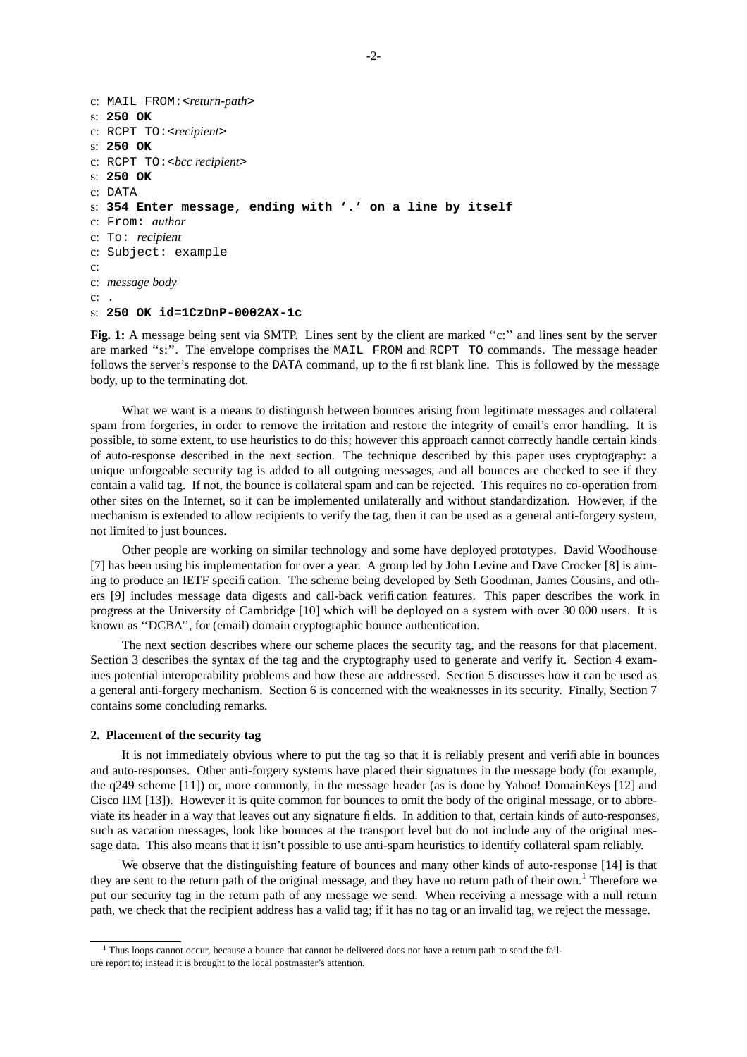```
c: MAIL FROM:<return-path>
s: 250 OK
c: RCPT TO:<recipient>
s: 250 OK
c: RCPT TO:<bcc recipient>
s: 250 OK
c: DATA
s: 354 Enter message, ending with '.' on a line by itself
c: From: author
c: To: recipient
c: Subject: example
c:
c: message body
c: .
s: 250 OK id=1CzDnP-0002AX-1c
```
**Fig. 1:** A message being sent via SMTP. Lines sent by the client are marked "c:" and lines sent by the server are marked ''s:''. The envelope comprises the MAIL FROM and RCPT TO commands. The message header follows the server's response to the DATA command, up to the first blank line. This is followed by the message body, up to the terminating dot.

What we want is a means to distinguish between bounces arising from legitimate messages and collateral spam from forgeries, in order to remove the irritation and restore the integrity of email's error handling. It is possible, to some extent, to use heuristics to do this; however this approach cannot correctly handle certain kinds of auto-response described in the next section. The technique described by this paper uses cryptography: a unique unforgeable security tag is added to all outgoing messages, and all bounces are checked to see if they contain a valid tag. If not, the bounce is collateral spam and can be rejected. This requires no co-operation from other sites on the Internet, so it can be implemented unilaterally and without standardization. However, if the mechanism is extended to allow recipients to verify the tag, then it can be used as a general anti-forgery system, not limited to just bounces.

Other people are working on similar technology and some have deployed prototypes. David Woodhouse [7] has been using his implementation for over a year. A group led by John Levine and Dave Crocker [8] is aiming to produce an IETF specification. The scheme being developed by Seth Goodman, James Cousins, and others [9] includes message data digests and call-back verification features. This paper describes the work in progress at the University of Cambridge [10] which will be deployed on a system with over 30 000 users. It is known as ''DCBA' ', for (email) domain cryptographic bounce authentication.

The next section describes where our scheme places the security tag, and the reasons for that placement. Section 3 describes the syntax of the tag and the cryptography used to generate and verify it. Section 4 examines potential interoperability problems and how these are addressed. Section 5 discusses how it can be used as a general anti-forgery mechanism. Section 6 is concerned with the weaknesses in its security. Finally, Section 7 contains some concluding remarks.

## **2. Placement of the security tag**

It is not immediately obvious where to put the tag so that it is reliably present and verifiable in bounces and auto-responses. Other anti-forgery systems have placed their signatures in the message body (for example, the q249 scheme [11]) or, more commonly, in the message header (as is done by Yahoo! DomainKeys [12] and Cisco IIM [13]). However it is quite common for bounces to omit the body of the original message, or to abbreviate its header in a way that leaves out any signature fields. In addition to that, certain kinds of auto-responses, such as vacation messages, look like bounces at the transport level but do not include any of the original message data. This also means that it isn't possible to use anti-spam heuristics to identify collateral spam reliably.

We observe that the distinguishing feature of bounces and many other kinds of auto-response [14] is that they are sent to the return path of the original message, and they have no return path of their own.<sup>1</sup> Therefore we put our security tag in the return path of any message we send. When receiving a message with a null return path, we check that the recipient address has a valid tag; if it has no tag or an invalid tag, we reject the message.

<sup>&</sup>lt;sup>1</sup> Thus loops cannot occur, because a bounce that cannot be delivered does not have a return path to send the failure report to; instead it is brought to the local postmaster's attention.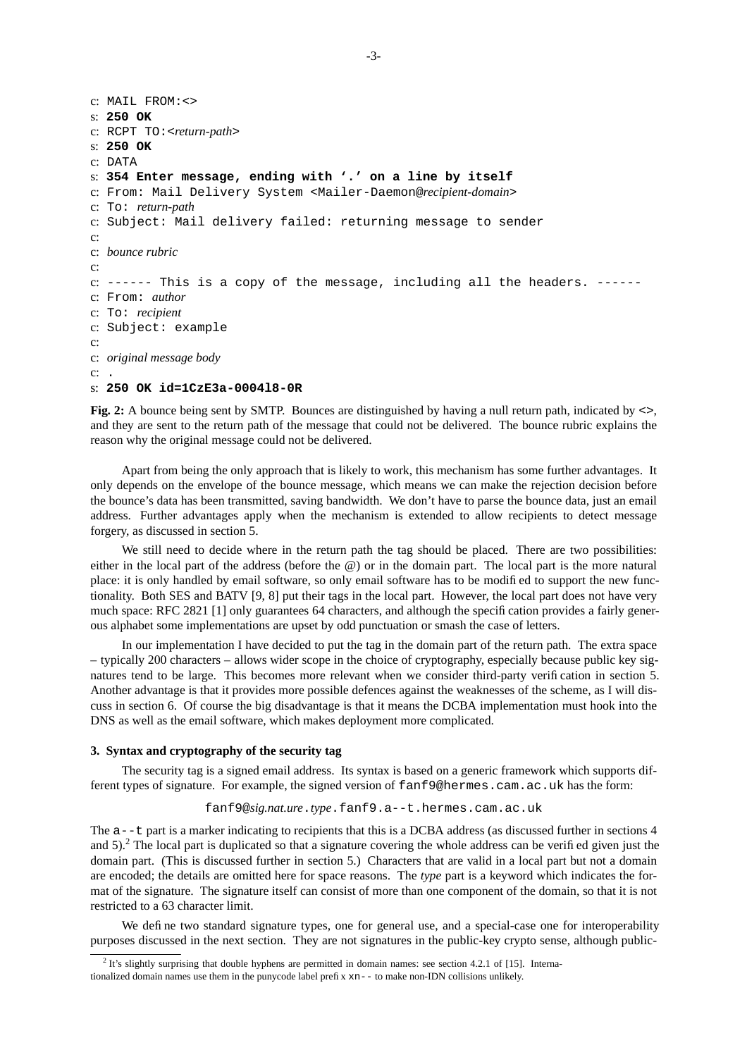```
c: MAIL FROM:<>
s: 250 OK
c: RCPT TO:<return-path>
s: 250 OK
c: DATA
s: 354 Enter message, ending with '.' on a line by itself
c: From: Mail Delivery System <Mailer-Daemon@recipient-domain>
c: To: return-path
c: Subject: Mail delivery failed: returning message to sender
c:
c: bounce rubric
c:
c: ------ This is a copy of the message, including all the headers. ------
c: From: author
c: To: recipient
c: Subject: example
c:
c: original message body
c: .
s: 250 OK id=1CzE3a-0004l8-0R
```
**Fig. 2:** A bounce being sent by SMTP. Bounces are distinguished by having a null return path, indicated by  $\langle \rangle$ , and they are sent to the return path of the message that could not be delivered. The bounce rubric explains the reason why the original message could not be delivered.

Apart from being the only approach that is likely to work, this mechanism has some further advantages. It only depends on the envelope of the bounce message, which means we can make the rejection decision before the bounce's data has been transmitted, saving bandwidth. We don't have to parse the bounce data, just an email address. Further advantages apply when the mechanism is extended to allow recipients to detect message forgery, as discussed in section 5.

We still need to decide where in the return path the tag should be placed. There are two possibilities: either in the local part of the address (before the @) or in the domain part. The local part is the more natural place: it is only handled by email software, so only email software has to be modified to support the new functionality. Both SES and BATV [9, 8] put their tags in the local part. However, the local part does not have very much space: RFC 2821 [1] only guarantees 64 characters, and although the specification provides a fairly generous alphabet some implementations are upset by odd punctuation or smash the case of letters.

In our implementation I have decided to put the tag in the domain part of the return path. The extra space – typically 200 characters – allows wider scope in the choice of cryptography, especially because public key signatures tend to be large. This becomes more relevant when we consider third-party verification in section 5. Another advantage is that it provides more possible defences against the weaknesses of the scheme, as I will discuss in section 6. Of course the big disadvantage is that it means the DCBA implementation must hook into the DNS as well as the email software, which makes deployment more complicated.

## **3. Syntax and cryptography of the security tag**

The security tag is a signed email address. Its syntax is based on a generic framework which supports different types of signature. For example, the signed version of fanf9@hermes.cam.ac.uk has the form:

### fanf9@*sig.nat.ure*.*type*.fanf9.a--t.hermes.cam.ac.uk

The a--t part is a marker indicating to recipients that this is a DCBA address (as discussed further in sections 4 and 5).<sup>2</sup> The local part is duplicated so that a signature covering the whole address can be verified given just the domain part. (This is discussed further in section 5.) Characters that are valid in a local part but not a domain are encoded; the details are omitted here for space reasons. The *type* part is a keyword which indicates the format of the signature. The signature itself can consist of more than one component of the domain, so that it is not restricted to a 63 character limit.

We define two standard signature types, one for general use, and a special-case one for interoperability purposes discussed in the next section. They are not signatures in the public-key crypto sense, although public-

<sup>&</sup>lt;sup>2</sup> It's slightly surprising that double hyphens are permitted in domain names: see section 4.2.1 of [15]. Internationalized domain names use them in the punycode label prefix  $xn--$  to make non-IDN collisions unlikely.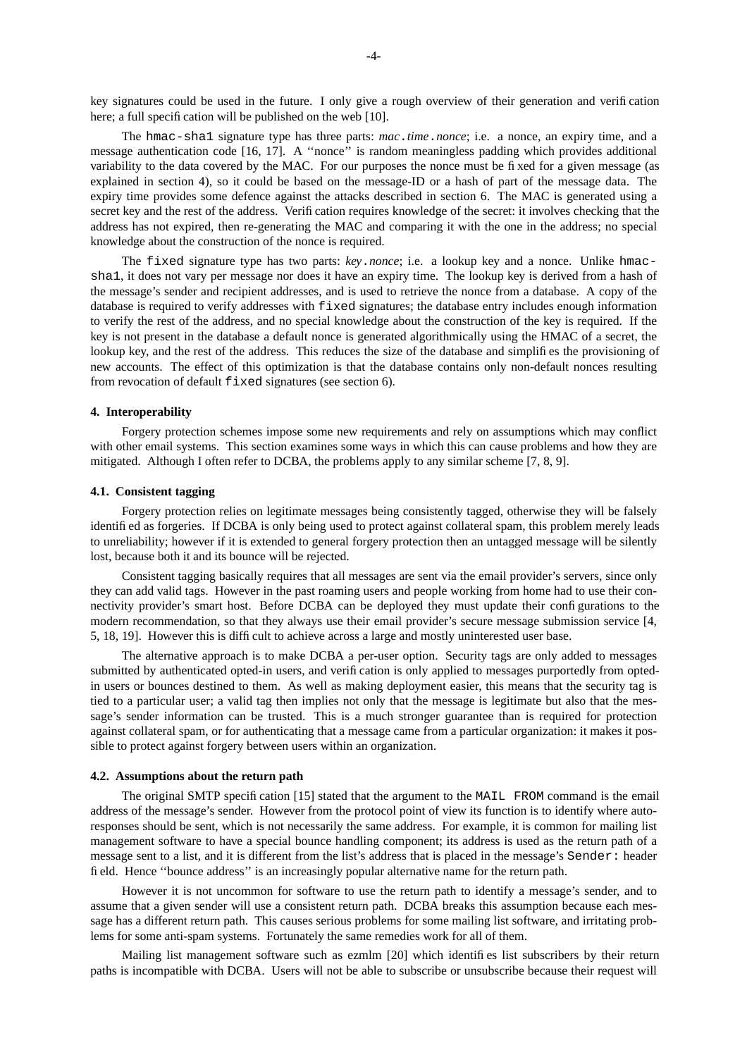key signatures could be used in the future. I only give a rough overview of their generation and verification here; a full specification will be published on the web [10].

The hmac-sha1 signature type has three parts: *mac*.*time*.*nonce*; i.e. a nonce, an expiry time, and a message authentication code [16, 17]. A ''nonce'' is random meaningless padding which provides additional variability to the data covered by the MAC. For our purposes the nonce must be fixed for a given message (as explained in section 4), so it could be based on the message-ID or a hash of part of the message data. The expiry time provides some defence against the attacks described in section 6. The MAC is generated using a secret key and the rest of the address. Verification requires knowledge of the secret: it involves checking that the address has not expired, then re-generating the MAC and comparing it with the one in the address; no special knowledge about the construction of the nonce is required.

The fixed signature type has two parts: *key*.*nonce*; i.e. a lookup key and a nonce. Unlike hmacsha1, it does not vary per message nor does it have an expiry time. The lookup key is derived from a hash of the message's sender and recipient addresses, and is used to retrieve the nonce from a database. A copy of the database is required to verify addresses with fixed signatures; the database entry includes enough information to verify the rest of the address, and no special knowledge about the construction of the key is required. If the key is not present in the database a default nonce is generated algorithmically using the HMAC of a secret, the lookup key, and the rest of the address. This reduces the size of the database and simplifies the provisioning of new accounts. The effect of this optimization is that the database contains only non-default nonces resulting from revocation of default fixed signatures (see section 6).

### **4. Interoperability**

Forgery protection schemes impose some new requirements and rely on assumptions which may conflict with other email systems. This section examines some ways in which this can cause problems and how they are mitigated. Although I often refer to DCBA, the problems apply to any similar scheme [7, 8, 9].

## **4.1. Consistent tagging**

Forgery protection relies on legitimate messages being consistently tagged, otherwise they will be falsely identified as forgeries. If DCBA is only being used to protect against collateral spam, this problem merely leads to unreliability; however if it is extended to general forgery protection then an untagged message will be silently lost, because both it and its bounce will be rejected.

Consistent tagging basically requires that all messages are sent via the email provider's servers, since only they can add valid tags. However in the past roaming users and people working from home had to use their connectivity provider's smart host. Before DCBA can be deployed they must update their configurations to the modern recommendation, so that they always use their email provider's secure message submission service [4, 5, 18, 19]. However this is difficult to achieve across a large and mostly uninterested user base.

The alternative approach is to make DCBA a per-user option. Security tags are only added to messages submitted by authenticated opted-in users, and verification is only applied to messages purportedly from optedin users or bounces destined to them. As well as making deployment easier, this means that the security tag is tied to a particular user; a valid tag then implies not only that the message is legitimate but also that the message's sender information can be trusted. This is a much stronger guarantee than is required for protection against collateral spam, or for authenticating that a message came from a particular organization: it makes it possible to protect against forgery between users within an organization.

# **4.2. Assumptions about the return path**

The original SMTP specification [15] stated that the argument to the MAIL FROM command is the email address of the message's sender. However from the protocol point of view its function is to identify where autoresponses should be sent, which is not necessarily the same address. For example, it is common for mailing list management software to have a special bounce handling component; its address is used as the return path of a message sent to a list, and it is different from the list's address that is placed in the message's Sender: header field. Hence ''bounce address'' is an increasingly popular alternative name for the return path.

However it is not uncommon for software to use the return path to identify a message's sender, and to assume that a given sender will use a consistent return path. DCBA breaks this assumption because each message has a different return path. This causes serious problems for some mailing list software, and irritating problems for some anti-spam systems. Fortunately the same remedies work for all of them.

Mailing list management software such as ezmlm [20] which identifies list subscribers by their return paths is incompatible with DCBA. Users will not be able to subscribe or unsubscribe because their request will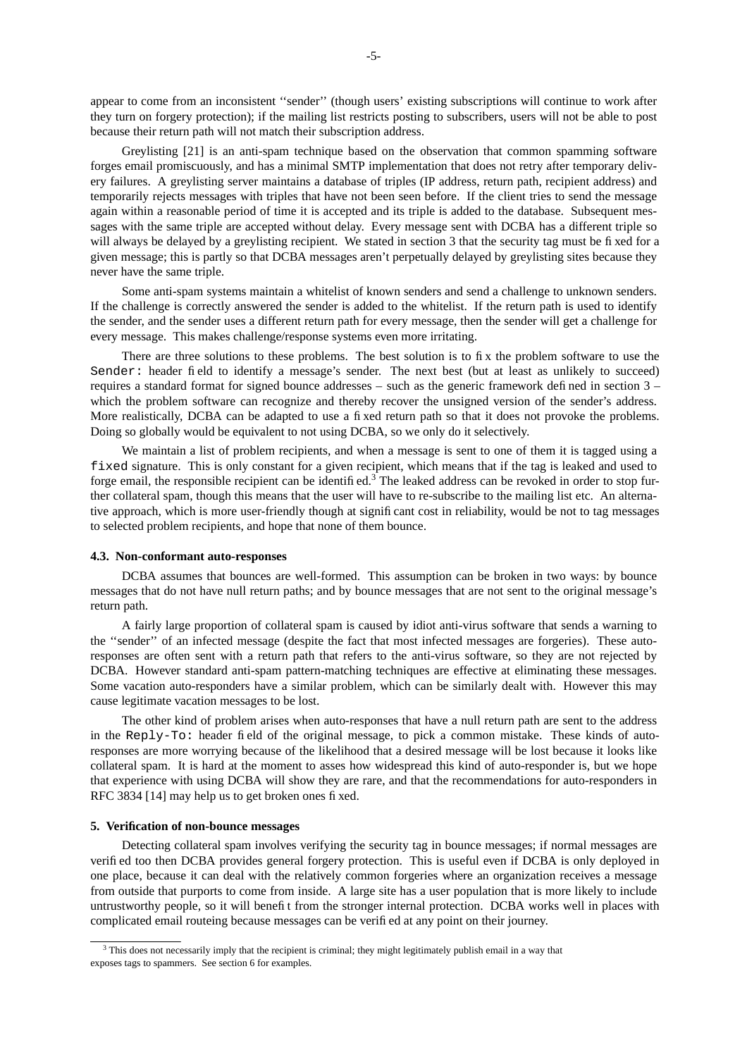appear to come from an inconsistent ''sender'' (though users' existing subscriptions will continue to work after they turn on forgery protection); if the mailing list restricts posting to subscribers, users will not be able to post because their return path will not match their subscription address.

Greylisting [21] is an anti-spam technique based on the observation that common spamming software forges email promiscuously, and has a minimal SMTP implementation that does not retry after temporary delivery failures. A greylisting server maintains a database of triples (IP address, return path, recipient address) and temporarily rejects messages with triples that have not been seen before. If the client tries to send the message again within a reasonable period of time it is accepted and its triple is added to the database. Subsequent messages with the same triple are accepted without delay. Every message sent with DCBA has a different triple so will always be delayed by a greylisting recipient. We stated in section 3 that the security tag must be fixed for a given message; this is partly so that DCBA messages aren't perpetually delayed by greylisting sites because they never have the same triple.

Some anti-spam systems maintain a whitelist of known senders and send a challenge to unknown senders. If the challenge is correctly answered the sender is added to the whitelist. If the return path is used to identify the sender, and the sender uses a different return path for every message, then the sender will get a challenge for every message. This makes challenge/response systems even more irritating.

There are three solutions to these problems. The best solution is to fix the problem software to use the Sender: header field to identify a message's sender. The next best (but at least as unlikely to succeed) requires a standard format for signed bounce addresses – such as the generic framework defined in section 3 – which the problem software can recognize and thereby recover the unsigned version of the sender's address. More realistically, DCBA can be adapted to use a fixed return path so that it does not provoke the problems. Doing so globally would be equivalent to not using DCBA, so we only do it selectively.

We maintain a list of problem recipients, and when a message is sent to one of them it is tagged using a fixed signature. This is only constant for a given recipient, which means that if the tag is leaked and used to forge email, the responsible recipient can be identified.<sup>3</sup> The leaked address can be revoked in order to stop further collateral spam, though this means that the user will have to re-subscribe to the mailing list etc. An alternative approach, which is more user-friendly though at significant cost in reliability, would be not to tag messages to selected problem recipients, and hope that none of them bounce.

#### **4.3. Non-conformant auto-responses**

DCBA assumes that bounces are well-formed. This assumption can be broken in two ways: by bounce messages that do not have null return paths; and by bounce messages that are not sent to the original message's return path.

A fairly large proportion of collateral spam is caused by idiot anti-virus software that sends a warning to the ''sender'' of an infected message (despite the fact that most infected messages are forgeries). These autoresponses are often sent with a return path that refers to the anti-virus software, so they are not rejected by DCBA. However standard anti-spam pattern-matching techniques are effective at eliminating these messages. Some vacation auto-responders have a similar problem, which can be similarly dealt with. However this may cause legitimate vacation messages to be lost.

The other kind of problem arises when auto-responses that have a null return path are sent to the address in the Reply-To: header field of the original message, to pick a common mistake. These kinds of autoresponses are more worrying because of the likelihood that a desired message will be lost because it looks like collateral spam. It is hard at the moment to asses how widespread this kind of auto-responder is, but we hope that experience with using DCBA will show they are rare, and that the recommendations for auto-responders in RFC 3834 [14] may help us to get broken ones fixed.

# **5. Verification of non-bounce messages**

Detecting collateral spam involves verifying the security tag in bounce messages; if normal messages are verified too then DCBA provides general forgery protection. This is useful even if DCBA is only deployed in one place, because it can deal with the relatively common forgeries where an organization receives a message from outside that purports to come from inside. A large site has a user population that is more likely to include untrustworthy people, so it will benefit from the stronger internal protection. DCBA works well in places with complicated email routeing because messages can be verified at any point on their journey.

 $3$  This does not necessarily imply that the recipient is criminal; they might legitimately publish email in a way that exposes tags to spammers. See section 6 for examples.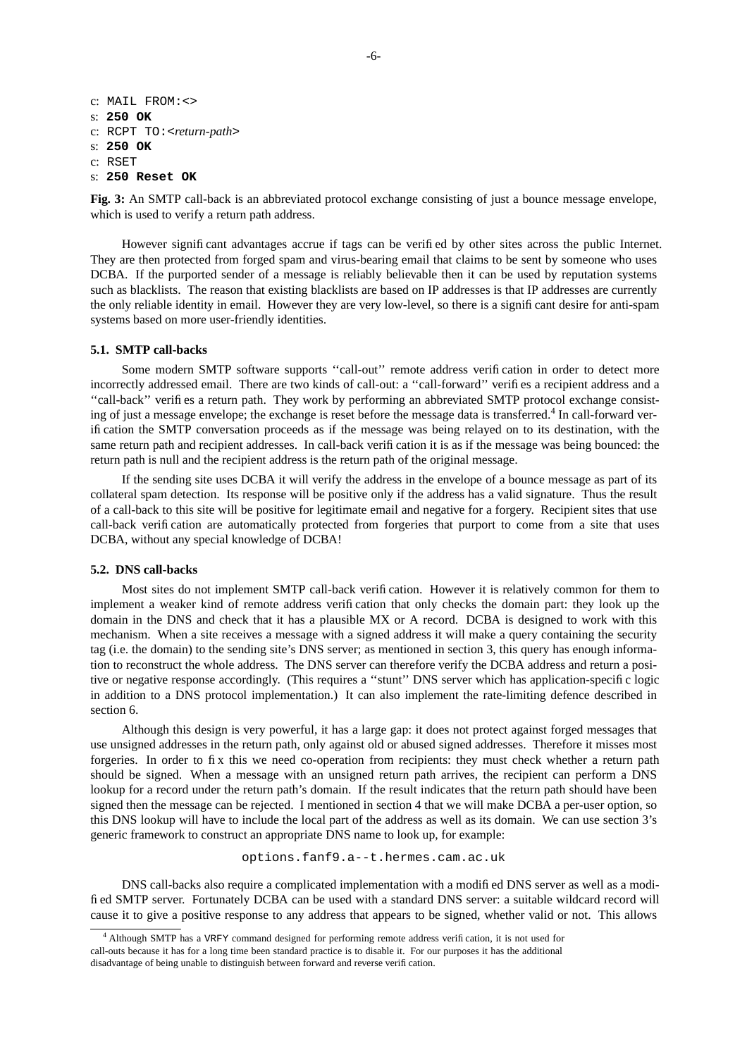```
c: MAIL FROM:<>
s: 250 OK
c: RCPT TO:<return-path>
s: 250 OK
c: RSET
s: 250 Reset OK
```
**Fig. 3:** An SMTP call-back is an abbreviated protocol exchange consisting of just a bounce message envelope, which is used to verify a return path address.

However significant advantages accrue if tags can be verified by other sites across the public Internet. They are then protected from forged spam and virus-bearing email that claims to be sent by someone who uses DCBA. If the purported sender of a message is reliably believable then it can be used by reputation systems such as blacklists. The reason that existing blacklists are based on IP addresses is that IP addresses are currently the only reliable identity in email. However they are very low-level, so there is a significant desire for anti-spam systems based on more user-friendly identities.

## **5.1. SMTP call-backs**

Some modern SMTP software supports ''call-out'' remote address verification in order to detect more incorrectly addressed email. There are two kinds of call-out: a ''call-forward'' verifies a recipient address and a ''call-back'' verifies a return path. They work by performing an abbreviated SMTP protocol exchange consisting of just a message envelope; the exchange is reset before the message data is transferred.<sup>4</sup> In call-forward verification the SMTP conversation proceeds as if the message was being relayed on to its destination, with the same return path and recipient addresses. In call-back verification it is as if the message was being bounced: the return path is null and the recipient address is the return path of the original message.

If the sending site uses DCBA it will verify the address in the envelope of a bounce message as part of its collateral spam detection. Its response will be positive only if the address has a valid signature. Thus the result of a call-back to this site will be positive for legitimate email and negative for a forgery. Recipient sites that use call-back verification are automatically protected from forgeries that purport to come from a site that uses DCBA, without any special knowledge of DCBA!

#### **5.2. DNS call-backs**

Most sites do not implement SMTP call-back verification. However it is relatively common for them to implement a weaker kind of remote address verification that only checks the domain part: they look up the domain in the DNS and check that it has a plausible MX or A record. DCBA is designed to work with this mechanism. When a site receives a message with a signed address it will make a query containing the security tag (i.e. the domain) to the sending site's DNS server; as mentioned in section 3, this query has enough information to reconstruct the whole address. The DNS server can therefore verify the DCBA address and return a positive or negative response accordingly. (This requires a "stunt" DNS server which has application-specific logic in addition to a DNS protocol implementation.) It can also implement the rate-limiting defence described in section 6.

Although this design is very powerful, it has a large gap: it does not protect against forged messages that use unsigned addresses in the return path, only against old or abused signed addresses. Therefore it misses most forgeries. In order to fix this we need co-operation from recipients: they must check whether a return path should be signed. When a message with an unsigned return path arrives, the recipient can perform a DNS lookup for a record under the return path's domain. If the result indicates that the return path should have been signed then the message can be rejected. I mentioned in section 4 that we will make DCBA a per-user option, so this DNS lookup will have to include the local part of the address as well as its domain. We can use section 3's generic framework to construct an appropriate DNS name to look up, for example:

options.fanf9.a--t.hermes.cam.ac.uk

DNS call-backs also require a complicated implementation with a modified DNS server as well as a modified SMTP server. Fortunately DCBA can be used with a standard DNS server: a suitable wildcard record will cause it to give a positive response to any address that appears to be signed, whether valid or not. This allows

<sup>4</sup> Although SMTP has a VRFY command designed for performing remote address verification, it is not used for call-outs because it has for a long time been standard practice is to disable it. For our purposes it has the additional disadvantage of being unable to distinguish between forward and reverse verification.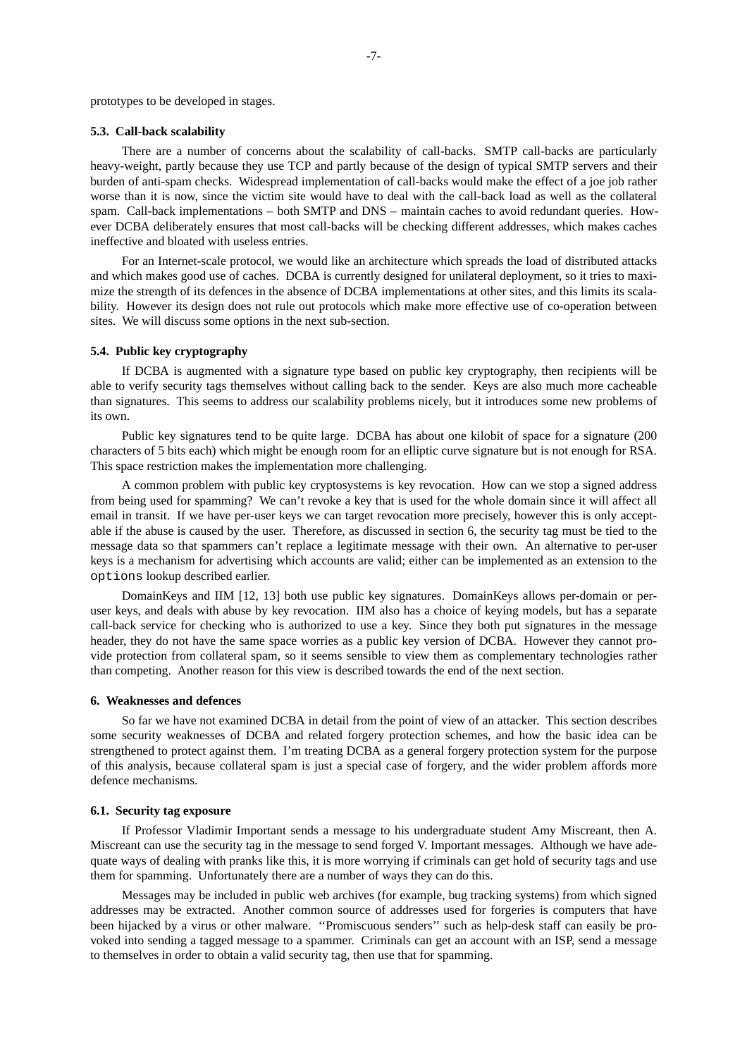prototypes to be developed in stages.

## **5.3. Call-back scalability**

There are a number of concerns about the scalability of call-backs. SMTP call-backs are particularly heavy-weight, partly because they use TCP and partly because of the design of typical SMTP servers and their burden of anti-spam checks. Widespread implementation of call-backs would make the effect of a joe job rather worse than it is now, since the victim site would have to deal with the call-back load as well as the collateral spam. Call-back implementations – both SMTP and DNS – maintain caches to avoid redundant queries. However DCBA deliberately ensures that most call-backs will be checking different addresses, which makes caches ineffective and bloated with useless entries.

For an Internet-scale protocol, we would like an architecture which spreads the load of distributed attacks and which makes good use of caches. DCBA is currently designed for unilateral deployment, so it tries to maximize the strength of its defences in the absence of DCBA implementations at other sites, and this limits its scalability. However its design does not rule out protocols which make more effective use of co-operation between sites. We will discuss some options in the next sub-section.

## **5.4. Public key cryptography**

If DCBA is augmented with a signature type based on public key cryptography, then recipients will be able to verify security tags themselves without calling back to the sender. Keys are also much more cacheable than signatures. This seems to address our scalability problems nicely, but it introduces some new problems of its own.

Public key signatures tend to be quite large. DCBA has about one kilobit of space for a signature (200 characters of 5 bits each) which might be enough room for an elliptic curve signature but is not enough for RSA. This space restriction makes the implementation more challenging.

A common problem with public key cryptosystems is key revocation. How can we stop a signed address from being used for spamming? We can't revoke a key that is used for the whole domain since it will affect all email in transit. If we have per-user keys we can target revocation more precisely, however this is only acceptable if the abuse is caused by the user. Therefore, as discussed in section 6, the security tag must be tied to the message data so that spammers can't replace a legitimate message with their own. An alternative to per-user keys is a mechanism for advertising which accounts are valid; either can be implemented as an extension to the options lookup described earlier.

DomainKeys and IIM [12, 13] both use public key signatures. DomainKeys allows per-domain or peruser keys, and deals with abuse by key revocation. IIM also has a choice of keying models, but has a separate call-back service for checking who is authorized to use a key. Since they both put signatures in the message header, they do not have the same space worries as a public key version of DCBA. However they cannot provide protection from collateral spam, so it seems sensible to view them as complementary technologies rather than competing. Another reason for this view is described towards the end of the next section.

### **6. Weaknesses and defences**

So far we have not examined DCBA in detail from the point of view of an attacker. This section describes some security weaknesses of DCBA and related forgery protection schemes, and how the basic idea can be strengthened to protect against them. I'm treating DCBA as a general forgery protection system for the purpose of this analysis, because collateral spam is just a special case of forgery, and the wider problem affords more defence mechanisms.

## **6.1. Security tag exposure**

If Professor Vladimir Important sends a message to his undergraduate student Amy Miscreant, then A. Miscreant can use the security tag in the message to send forged V. Important messages. Although we have adequate ways of dealing with pranks like this, it is more worrying if criminals can get hold of security tags and use them for spamming. Unfortunately there are a number of ways they can do this.

Messages may be included in public web archives (for example, bug tracking systems) from which signed addresses may be extracted. Another common source of addresses used for forgeries is computers that have been hijacked by a virus or other malware. ''Promiscuous senders'' such as help-desk staff can easily be provoked into sending a tagged message to a spammer. Criminals can get an account with an ISP, send a message to themselves in order to obtain a valid security tag, then use that for spamming.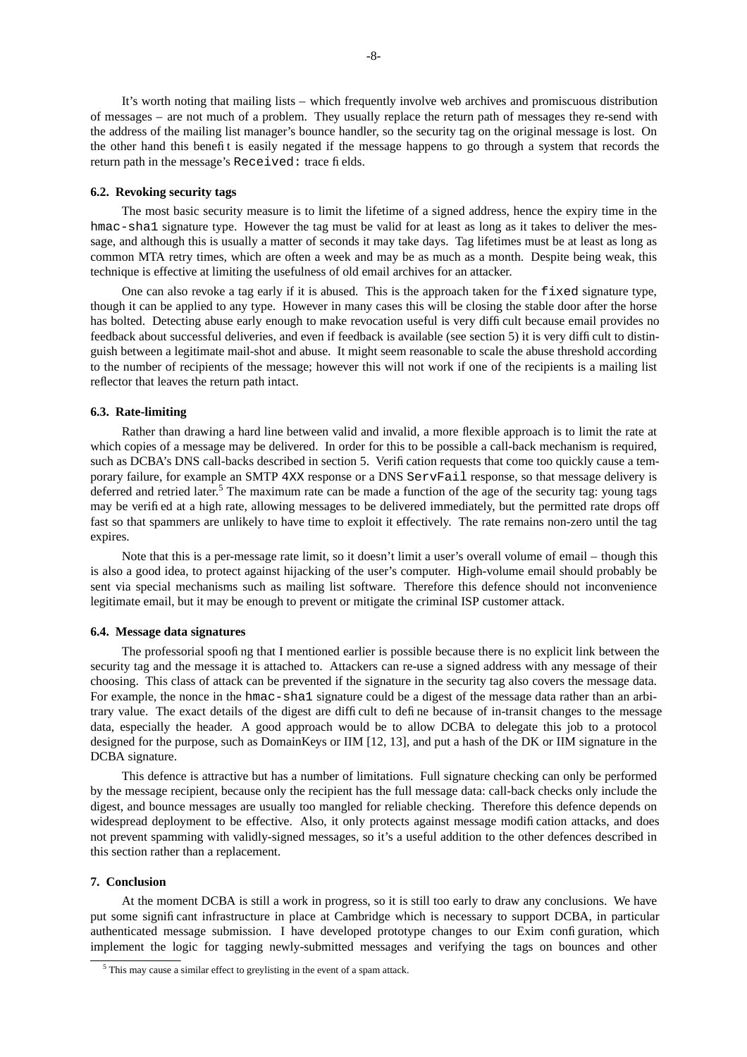It's worth noting that mailing lists – which frequently involve web archives and promiscuous distribution of messages – are not much of a problem. They usually replace the return path of messages they re-send with the address of the mailing list manager's bounce handler, so the security tag on the original message is lost. On the other hand this benefit is easily negated if the message happens to go through a system that records the return path in the message's Received: trace fields.

#### **6.2. Revoking security tags**

The most basic security measure is to limit the lifetime of a signed address, hence the expiry time in the hmac-shal signature type. However the tag must be valid for at least as long as it takes to deliver the message, and although this is usually a matter of seconds it may take days. Tag lifetimes must be at least as long as common MTA retry times, which are often a week and may be as much as a month. Despite being weak, this technique is effective at limiting the usefulness of old email archives for an attacker.

One can also revoke a tag early if it is abused. This is the approach taken for the fixed signature type, though it can be applied to any type. However in many cases this will be closing the stable door after the horse has bolted. Detecting abuse early enough to make revocation useful is very difficult because email provides no feedback about successful deliveries, and even if feedback is available (see section 5) it is very difficult to distinguish between a legitimate mail-shot and abuse. It might seem reasonable to scale the abuse threshold according to the number of recipients of the message; however this will not work if one of the recipients is a mailing list reflector that leaves the return path intact.

### **6.3. Rate-limiting**

Rather than drawing a hard line between valid and invalid, a more flexible approach is to limit the rate at which copies of a message may be delivered. In order for this to be possible a call-back mechanism is required, such as DCBA's DNS call-backs described in section 5. Verification requests that come too quickly cause a temporary failure, for example an SMTP 4XX response or a DNS ServFail response, so that message delivery is deferred and retried later.<sup>5</sup> The maximum rate can be made a function of the age of the security tag: young tags may be verified at a high rate, allowing messages to be delivered immediately, but the permitted rate drops off fast so that spammers are unlikely to have time to exploit it effectively. The rate remains non-zero until the tag expires.

Note that this is a per-message rate limit, so it doesn't limit a user's overall volume of email – though this is also a good idea, to protect against hijacking of the user's computer. High-volume email should probably be sent via special mechanisms such as mailing list software. Therefore this defence should not inconvenience legitimate email, but it may be enough to prevent or mitigate the criminal ISP customer attack.

#### **6.4. Message data signatures**

The professorial spoofing that I mentioned earlier is possible because there is no explicit link between the security tag and the message it is attached to. Attackers can re-use a signed address with any message of their choosing. This class of attack can be prevented if the signature in the security tag also covers the message data. For example, the nonce in the hmac-sha1 signature could be a digest of the message data rather than an arbitrary value. The exact details of the digest are difficult to define because of in-transit changes to the message data, especially the header. A good approach would be to allow DCBA to delegate this job to a protocol designed for the purpose, such as DomainKeys or IIM [12, 13], and put a hash of the DK or IIM signature in the DCBA signature.

This defence is attractive but has a number of limitations. Full signature checking can only be performed by the message recipient, because only the recipient has the full message data: call-back checks only include the digest, and bounce messages are usually too mangled for reliable checking. Therefore this defence depends on widespread deployment to be effective. Also, it only protects against message modification attacks, and does not prevent spamming with validly-signed messages, so it's a useful addition to the other defences described in this section rather than a replacement.

### **7. Conclusion**

At the moment DCBA is still a work in progress, so it is still too early to draw any conclusions. We have put some significant infrastructure in place at Cambridge which is necessary to support DCBA, in particular authenticated message submission. I have developed prototype changes to our Exim configuration, which implement the logic for tagging newly-submitted messages and verifying the tags on bounces and other

<sup>5</sup> This may cause a similar effect to greylisting in the event of a spam attack.